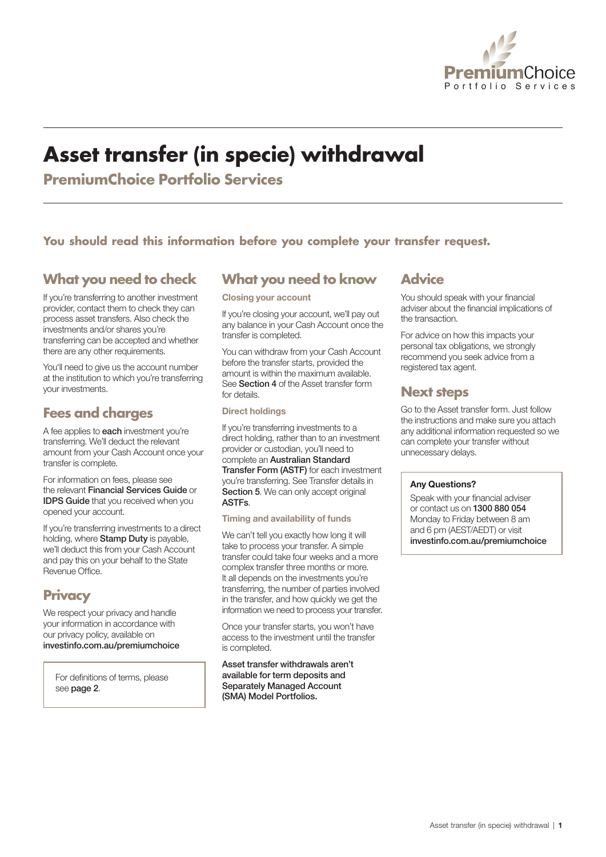

# **Asset transfer (in specie) withdrawal**

**PremiumChoice Portfolio Services** 

### **You should read this information before you complete your transfer request.**

### **What you need to check**

If you're transferring to another investment provider, contact them to check they can process asset transfers. Also check the investments and/or shares you're transferring can be accepted and whether there are any other requirements.

You'll need to give us the account number at the institution to which you're transferring your investments.

### **Fees and charges**

A fee applies to each investment you're transferring. We'll deduct the relevant amount from your Cash Account once your transfer is complete.

For information on fees, please see the relevant Financial Services Guide or **IDPS Guide** that you received when you opened your account.

If you're transferring investments to a direct holding, where Stamp Duty is payable, we'll deduct this from your Cash Account and pay this on your behalf to the State Revenue Office.

### **Privacy**

We respect your privacy and handle your information in accordance with our privacy policy, available on investinfo.com.au/premiumchoice

For definitions of terms, please see page 2.

### **What you need to know**

Closing your account

If you're closing your account, we'll pay out any balance in your Cash Account once the transfer is completed.

You can withdraw from your Cash Account before the transfer starts, provided the amount is within the maximum available. See Section 4 of the Asset transfer form for details.

#### Direct holdings

If you're transferring investments to a direct holding, rather than to an investment provider or custodian, you'll need to complete an Australian Standard Transfer Form (ASTF) for each investment you're transferring. See Transfer details in Section 5. We can only accept original ASTFs.

#### Timing and availability of funds

We can't tell you exactly how long it will take to process your transfer. A simple transfer could take four weeks and a more complex transfer three months or more. It all depends on the investments you're transferring, the number of parties involved in the transfer, and how quickly we get the information we need to process your transfer.

Once your transfer starts, you won't have access to the investment until the transfer is completed.

Asset transfer withdrawals aren't available for term deposits and Separately Managed Account (SMA) Model Portfolios.

### **Advice**

You should speak with your financial adviser about the financial implications of the transaction.

For advice on how this impacts your personal tax obligations, we strongly recommend you seek advice from a registered tax agent.

### **Next steps**

Go to the Asset transfer form. Just follow the instructions and make sure you attach any additional information requested so we can complete your transfer without unnecessary delays.

#### Any Questions?

Speak with your financial adviser or contact us on 1300 880 054 Monday to Friday between 8 am and 6 pm (AEST/AEDT) or visit investinfo.com.au/premiumchoice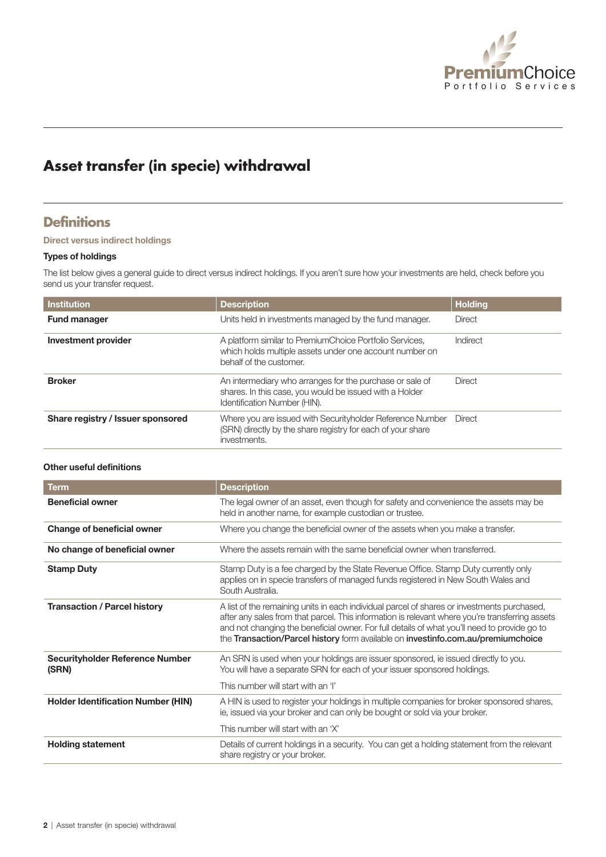

# **Asset transfer (in specie) withdrawal**

### **Definitions**

#### Direct versus indirect holdings

#### Types of holdings

The list below gives a general guide to direct versus indirect holdings. If you aren't sure how your investments are held, check before you send us your transfer request.

| Institution                       | <b>Description</b>                                                                                                                                  | <b>Holding</b> |
|-----------------------------------|-----------------------------------------------------------------------------------------------------------------------------------------------------|----------------|
| <b>Fund manager</b>               | Units held in investments managed by the fund manager.                                                                                              | Direct         |
| Investment provider               | A platform similar to PremiumChoice Portfolio Services,<br>which holds multiple assets under one account number on<br>behalf of the customer.       | Indirect       |
| <b>Broker</b>                     | An intermediary who arranges for the purchase or sale of<br>shares. In this case, you would be issued with a Holder<br>Identification Number (HIN). | Direct         |
| Share registry / Issuer sponsored | Where you are issued with Securityholder Reference Number<br>(SRN) directly by the share registry for each of your share<br>investments.            | Direct         |

#### Other useful definitions

| <b>Term</b>                               | <b>Description</b>                                                                                                                                                                                                                                                                                                                                                                 |
|-------------------------------------------|------------------------------------------------------------------------------------------------------------------------------------------------------------------------------------------------------------------------------------------------------------------------------------------------------------------------------------------------------------------------------------|
| <b>Beneficial owner</b>                   | The legal owner of an asset, even though for safety and convenience the assets may be<br>held in another name, for example custodian or trustee.                                                                                                                                                                                                                                   |
| <b>Change of beneficial owner</b>         | Where you change the beneficial owner of the assets when you make a transfer.                                                                                                                                                                                                                                                                                                      |
| No change of beneficial owner             | Where the assets remain with the same beneficial owner when transferred.                                                                                                                                                                                                                                                                                                           |
| <b>Stamp Duty</b>                         | Stamp Duty is a fee charged by the State Revenue Office. Stamp Duty currently only<br>applies on in specie transfers of managed funds registered in New South Wales and<br>South Australia.                                                                                                                                                                                        |
| <b>Transaction / Parcel history</b>       | A list of the remaining units in each individual parcel of shares or investments purchased,<br>after any sales from that parcel. This information is relevant where you're transferring assets<br>and not changing the beneficial owner. For full details of what you'll need to provide go to<br>the Transaction/Parcel history form available on investinfo.com.au/premiumchoice |
| Securityholder Reference Number<br>(SRN)  | An SRN is used when your holdings are issuer sponsored, ie issued directly to you.<br>You will have a separate SRN for each of your issuer sponsored holdings.                                                                                                                                                                                                                     |
|                                           | This number will start with an 'I'                                                                                                                                                                                                                                                                                                                                                 |
| <b>Holder Identification Number (HIN)</b> | A HIN is used to register your holdings in multiple companies for broker sponsored shares,<br>ie, issued via your broker and can only be bought or sold via your broker.                                                                                                                                                                                                           |
|                                           | This number will start with an 'X'                                                                                                                                                                                                                                                                                                                                                 |
| <b>Holding statement</b>                  | Details of current holdings in a security. You can get a holding statement from the relevant<br>share registry or your broker.                                                                                                                                                                                                                                                     |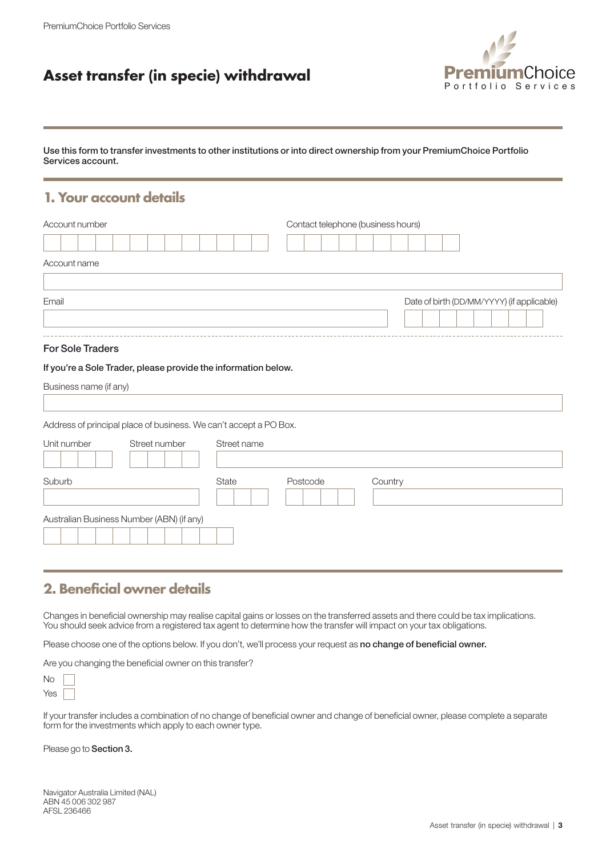### **Asset transfer (in specie) withdrawal**



Use this form to transfer investments to other institutions or into direct ownership from your PremiumChoice Portfolio Services account.

### **1. Your account details**

| Account number                                                    |             | Contact telephone (business hours) |         |                                            |
|-------------------------------------------------------------------|-------------|------------------------------------|---------|--------------------------------------------|
|                                                                   |             |                                    |         |                                            |
| Account name                                                      |             |                                    |         |                                            |
|                                                                   |             |                                    |         |                                            |
| Email                                                             |             |                                    |         | Date of birth (DD/MM/YYYY) (if applicable) |
|                                                                   |             |                                    |         |                                            |
| <b>For Sole Traders</b>                                           |             |                                    |         |                                            |
| If you're a Sole Trader, please provide the information below.    |             |                                    |         |                                            |
| Business name (if any)                                            |             |                                    |         |                                            |
|                                                                   |             |                                    |         |                                            |
| Address of principal place of business. We can't accept a PO Box. |             |                                    |         |                                            |
| Unit number<br>Street number                                      | Street name |                                    |         |                                            |
|                                                                   |             |                                    |         |                                            |
| Suburb                                                            | State       | Postcode                           | Country |                                            |
|                                                                   |             |                                    |         |                                            |
| Australian Business Number (ABN) (if any)                         |             |                                    |         |                                            |
|                                                                   |             |                                    |         |                                            |

### **2. Beneficial owner details**

Changes in beneficial ownership may realise capital gains or losses on the transferred assets and there could be tax implications. You should seek advice from a registered tax agent to determine how the transfer will impact on your tax obligations.

Please choose one of the options below. If you don't, we'll process your request as no change of beneficial owner.

Are you changing the beneficial owner on this transfer?

If your transfer includes a combination of no change of beneficial owner and change of beneficial owner, please complete a separate form for the investments which apply to each owner type.

Please go to Section 3.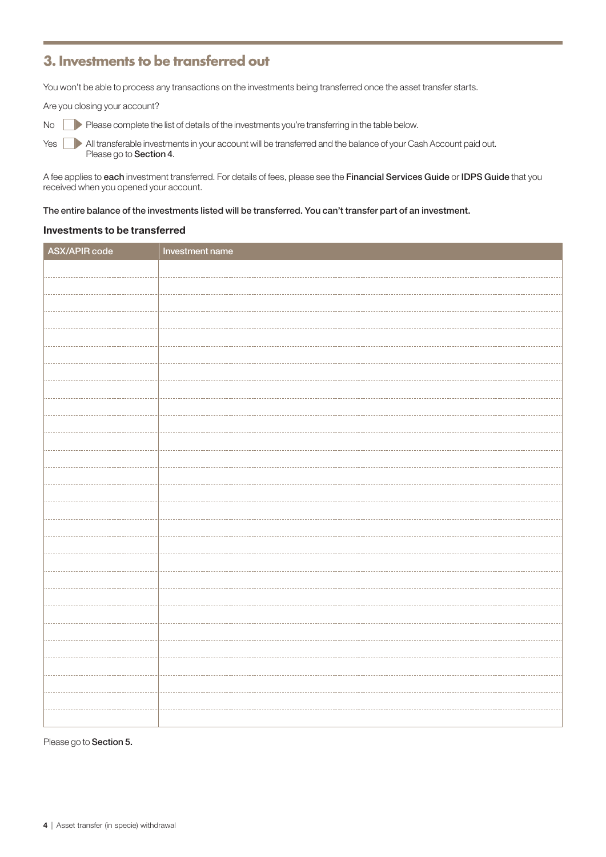### **3. Investments to be transferred out**

You won't be able to process any transactions on the investments being transferred once the asset transfer starts.

Are you closing your account?

No Please complete the list of details of the investments you're transferring in the table below.

Yes **All transferable investments in your account will be transferred and the balance of your Cash Account paid out.** Please go to Section 4.

A fee applies to each investment transferred. For details of fees, please see the Financial Services Guide or IDPS Guide that you received when you opened your account.

#### The entire balance of the investments listed will be transferred. You can't transfer part of an investment.

#### Investments to be transferred

| ASX/APIR code | Investment name |
|---------------|-----------------|
|               |                 |
|               |                 |
|               |                 |
|               |                 |
|               |                 |
|               |                 |
|               |                 |
|               |                 |
|               |                 |
|               |                 |
|               |                 |
|               |                 |
|               |                 |
|               |                 |
|               |                 |
|               |                 |
|               |                 |
|               |                 |
|               |                 |
|               |                 |
|               |                 |
|               |                 |
|               |                 |
|               |                 |
|               |                 |
|               |                 |
|               |                 |
|               |                 |
|               |                 |
|               |                 |
|               |                 |

Please go to Section 5.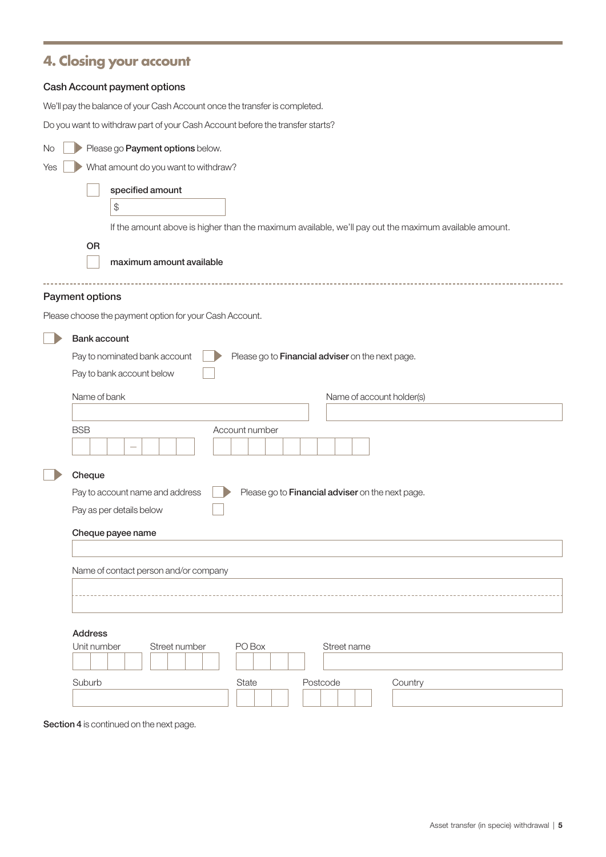## **4. Closing your account**

### Cash Account payment options

We'll pay the balance of your Cash Account once the transfer is completed.

Do you want to withdraw part of your Cash Account before the transfer starts?

| Please go Payment options below.<br>No.                 |                                                                                                       |  |  |  |
|---------------------------------------------------------|-------------------------------------------------------------------------------------------------------|--|--|--|
| What amount do you want to withdraw?<br>Yes             |                                                                                                       |  |  |  |
| specified amount                                        |                                                                                                       |  |  |  |
| \$                                                      |                                                                                                       |  |  |  |
|                                                         | If the amount above is higher than the maximum available, we'll pay out the maximum available amount. |  |  |  |
| OR                                                      |                                                                                                       |  |  |  |
| maximum amount available                                |                                                                                                       |  |  |  |
| Payment options                                         |                                                                                                       |  |  |  |
| Please choose the payment option for your Cash Account. |                                                                                                       |  |  |  |
| <b>Bank account</b>                                     |                                                                                                       |  |  |  |
| Pay to nominated bank account                           | Please go to Financial adviser on the next page.                                                      |  |  |  |
| Pay to bank account below                               |                                                                                                       |  |  |  |
| Name of bank                                            | Name of account holder(s)                                                                             |  |  |  |
|                                                         |                                                                                                       |  |  |  |
| <b>BSB</b>                                              | Account number                                                                                        |  |  |  |
|                                                         |                                                                                                       |  |  |  |
| Cheque                                                  |                                                                                                       |  |  |  |
|                                                         | Please go to Financial adviser on the next page.<br>Pay to account name and address                   |  |  |  |
|                                                         | Pay as per details below                                                                              |  |  |  |
|                                                         | Cheque payee name                                                                                     |  |  |  |
|                                                         |                                                                                                       |  |  |  |
|                                                         | Name of contact person and/or company                                                                 |  |  |  |
|                                                         |                                                                                                       |  |  |  |
|                                                         |                                                                                                       |  |  |  |
| <b>Address</b>                                          |                                                                                                       |  |  |  |
| Unit number<br>Street number                            | PO Box<br>Street name                                                                                 |  |  |  |
| Suburb                                                  | State<br>Postcode<br>Country                                                                          |  |  |  |
|                                                         |                                                                                                       |  |  |  |

Section 4 is continued on the next page.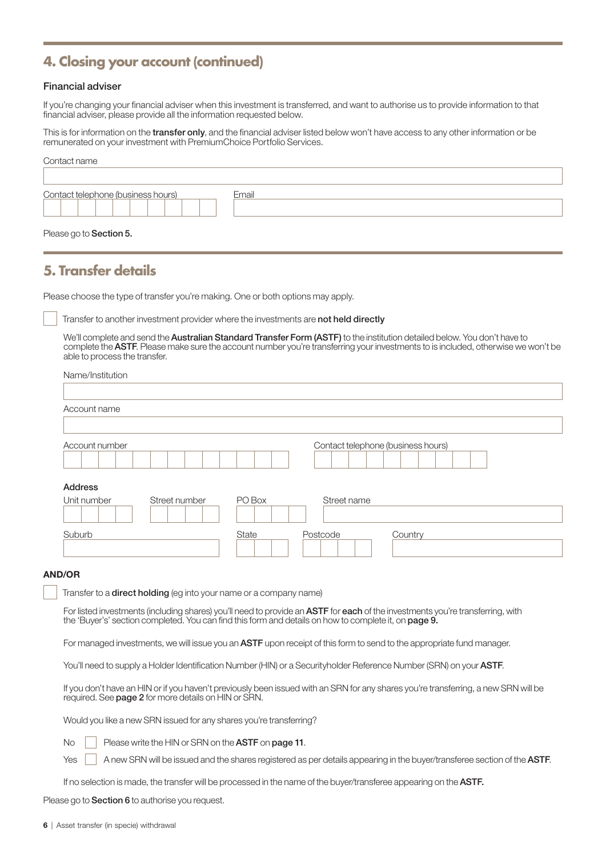### **4. Closing your account (continued)**

#### Financial adviser

If you're changing your financial adviser when this investment is transferred, and want to authorise us to provide information to that financial adviser, please provide all the information requested below.

This is for information on the *transfer only*, and the financial adviser listed below won't have access to any other information or be remunerated on your investment with PremiumChoice Portfolio Services.

| Contact name                       |       |
|------------------------------------|-------|
|                                    |       |
| Contact telephone (business hours) | Email |
|                                    |       |
|                                    |       |

### Please go to Section 5.

### **5. Transfer details**

Please choose the type of transfer you're making. One or both options may apply.

Transfer to another investment provider where the investments are not held directly

We'll complete and send the **Australian Standard Transfer Form (ASTF)** to the institution detailed below. You don't have to complete the ASTF. Please make sure the account number you're transferring your investments to is included, otherwise we won't be able to process the transfer.

| Name/Institution |               |        |                                    |
|------------------|---------------|--------|------------------------------------|
|                  |               |        |                                    |
| Account name     |               |        |                                    |
|                  |               |        |                                    |
| Account number   |               |        | Contact telephone (business hours) |
|                  |               |        |                                    |
| <b>Address</b>   |               |        |                                    |
| Unit number      | Street number | PO Box | Street name                        |
| Suburb           |               | State  | Postcode<br>Country                |

#### AND/OR

Transfer to a **direct holding** (eg into your name or a company name)

For listed investments (including shares) you'll need to provide an ASTF for each of the investments you're transferring, with the 'Buyer's' section completed. You can find this form and details on how to complete it, on page 9.

For managed investments, we will issue you an ASTF upon receipt of this form to send to the appropriate fund manager.

You'll need to supply a Holder Identification Number (HIN) or a Securityholder Reference Number (SRN) on your **ASTF.** 

If you don't have an HIN or if you haven't previously been issued with an SRN for any shares you're transferring, a new SRN will be required. See page 2 for more details on HIN or SRN.

Would you like a new SRN issued for any shares you're transferring?

No Please write the HIN or SRN on the ASTF on page 11.

 $Y$ es  $|$  A new SRN will be issued and the shares registered as per details appearing in the buyer/transferee section of the **ASTF**.

If no selection is made, the transfer will be processed in the name of the buyer/transferee appearing on the ASTF.

Please go to **Section 6** to authorise you request.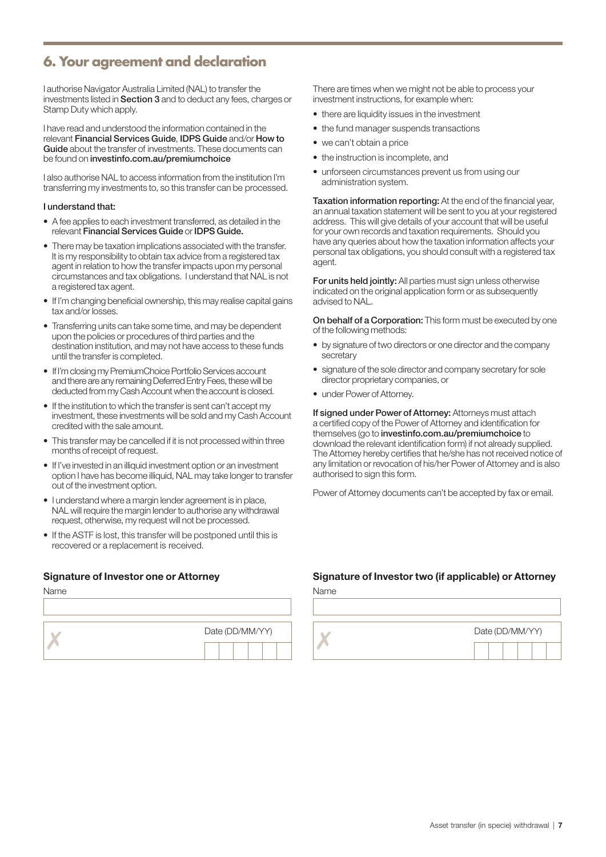### **6. Your agreement and declaration**

I authorise Navigator Australia Limited (NAL) to transfer the investments listed in Section 3 and to deduct any fees, charges or Stamp Duty which apply.

I have read and understood the information contained in the relevant Financial Services Guide, IDPS Guide and/or How to Guide about the transfer of investments. These documents can be found on investinfo.com.au/premiumchoice

I also authorise NAL to access information from the institution I'm transferring my investments to, so this transfer can be processed.

#### I understand that:

- A fee applies to each investment transferred, as detailed in the relevant Financial Services Guide or IDPS Guide.
- There may be taxation implications associated with the transfer. It is my responsibility to obtain tax advice from a registered tax agent in relation to how the transfer impacts upon my personal circumstances and tax obligations. I understand that NAL is not a registered tax agent.
- If I'm changing beneficial ownership, this may realise capital gains tax and/or losses.
- Transferring units can take some time, and may be dependent upon the policies or procedures of third parties and the destination institution, and may not have access to these funds until the transfer is completed.
- If I'm closing my PremiumChoice Portfolio Services account and there are any remaining Deferred Entry Fees, these will be deducted from my Cash Account when the account is closed.
- If the institution to which the transfer is sent can't accept my investment, these investments will be sold and my Cash Account credited with the sale amount.
- This transfer may be cancelled if it is not processed within three months of receipt of request.
- If I've invested in an illiquid investment option or an investment option I have has become illiquid, NAL may take longer to transfer out of the investment option.
- I understand where a margin lender agreement is in place, NAL will require the margin lender to authorise any withdrawal request, otherwise, my request will not be processed.
- If the ASTF is lost, this transfer will be postponed until this is recovered or a replacement is received.

| Name |                 | Name |
|------|-----------------|------|
|      |                 |      |
|      | Date (DD/MM/YY) |      |
|      |                 |      |

There are times when we might not be able to process your investment instructions, for example when:

- there are liquidity issues in the investment
- the fund manager suspends transactions
- we can't obtain a price
- the instruction is incomplete, and
- unforseen circumstances prevent us from using our administration system.

Taxation information reporting: At the end of the financial year, an annual taxation statement will be sent to you at your registered address. This will give details of your account that will be useful for your own records and taxation requirements. Should you have any queries about how the taxation information affects your personal tax obligations, you should consult with a registered tax agent.

For units held jointly: All parties must sign unless otherwise indicated on the original application form or as subsequently advised to NAL.

On behalf of a Corporation: This form must be executed by one of the following methods:

- by signature of two directors or one director and the company secretary
- signature of the sole director and company secretary for sole director proprietary companies, or
- under Power of Attorney.

If signed under Power of Attorney: Attorneys must attach a certified copy of the Power of Attorney and identification for themselves (go to investinfo.com.au/premiumchoice to download the relevant identification form) if not already supplied. The Attorney hereby certifies that he/she has not received notice of any limitation or revocation of his/her Power of Attorney and is also authorised to sign this form.

Power of Attorney documents can't be accepted by fax or email.

### Signature of Investor one or Attorney Signature of Investor two (if applicable) or Attorney

| Date (DD/MM/YY) | Date (DD/MM/YY) |
|-----------------|-----------------|
|                 |                 |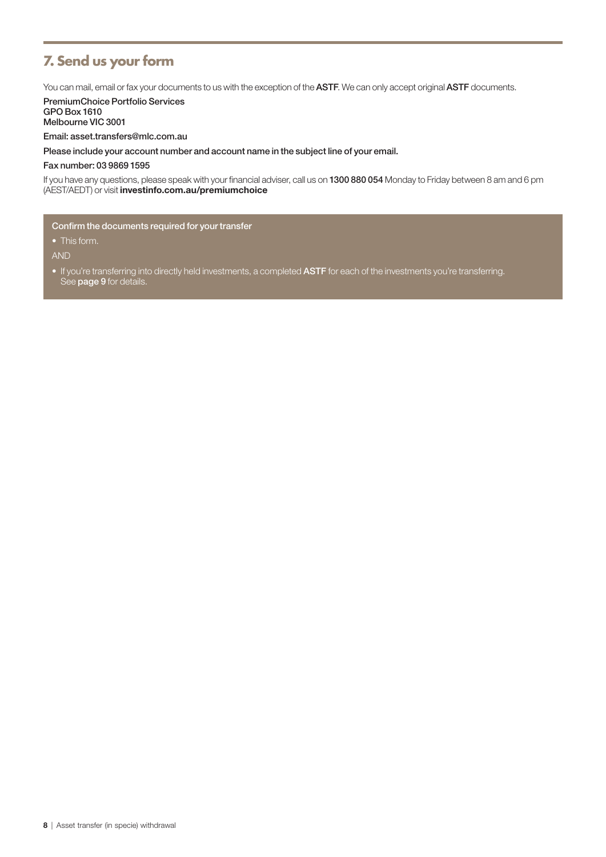### **7. Send us your form**

You can mail, email or fax your documents to us with the exception of the ASTF. We can only accept original ASTF documents.

PremiumChoice Portfolio Services GPO Box 1610 Melbourne VIC 3001

Email: asset.transfers@mlc.com.au

Please include your account number and account name in the subject line of your email.

Fax number: 03 9869 1595

If you have any questions, please speak with your financial adviser, call us on 1300 880 054 Monday to Friday between 8 am and 6 pm (AEST/AEDT) or visit investinfo.com.au/premiumchoice

Confirm the documents required for your transfer

• This form.

AND

• If you're transferring into directly held investments, a completed ASTF for each of the investments you're transferring. See page 9 for details.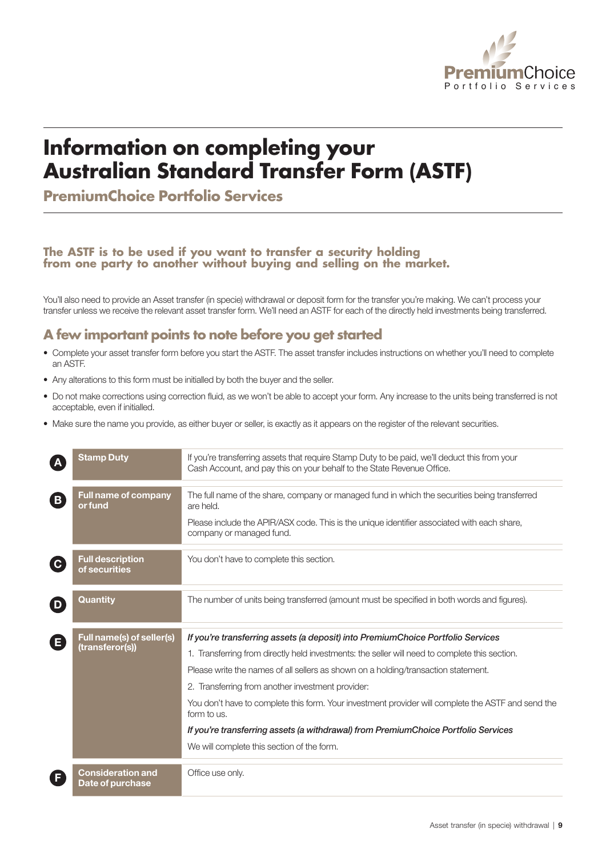

# **Information on completing your Australian Standard Transfer Form (ASTF)**

**PremiumChoice Portfolio Services**

#### **The ASTF is to be used if you want to transfer a security holding** from one party to another without buying and selling on the market.

You'll also need to provide an Asset transfer (in specie) withdrawal or deposit form for the transfer you're making. We can't process your transfer unless we receive the relevant asset transfer form. We'll need an ASTF for each of the directly held investments being transferred.

### **A few important points to note before you get started**

- Complete your asset transfer form before you start the ASTF. The asset transfer includes instructions on whether you'll need to complete an ASTF.
- Any alterations to this form must be initialled by both the buyer and the seller.
- Do not make corrections using correction fluid, as we won't be able to accept your form. Any increase to the units being transferred is not acceptable, even if initialled.
- Make sure the name you provide, as either buyer or seller, is exactly as it appears on the register of the relevant securities.

|                            | Stamp Duty                               | If you're transferring assets that require Stamp Duty to be paid, we'll deduct this from your<br>Cash Account, and pay this on your behalf to the State Revenue Office. |
|----------------------------|------------------------------------------|-------------------------------------------------------------------------------------------------------------------------------------------------------------------------|
| $\left( \mathbf{B}\right)$ | <b>Full name of company</b><br>or fund   | The full name of the share, company or managed fund in which the securities being transferred<br>are held.                                                              |
|                            |                                          | Please include the APIR/ASX code. This is the unique identifier associated with each share,<br>company or managed fund.                                                 |
| $\mathbf{C}$               | <b>Full description</b><br>of securities | You don't have to complete this section.                                                                                                                                |
| D                          | Quantity                                 | The number of units being transferred (amount must be specified in both words and figures).                                                                             |
|                            | Full name(s) of seller(s)                | If you're transferring assets (a deposit) into PremiumChoice Portfolio Services                                                                                         |
|                            |                                          |                                                                                                                                                                         |
| E                          | (transferor(s))                          | 1. Transferring from directly held investments: the seller will need to complete this section.                                                                          |
|                            |                                          | Please write the names of all sellers as shown on a holding/transaction statement.                                                                                      |
|                            |                                          | 2. Transferring from another investment provider:                                                                                                                       |
|                            |                                          | You don't have to complete this form. Your investment provider will complete the ASTF and send the<br>form to us.                                                       |
|                            |                                          | If you're transferring assets (a withdrawal) from PremiumChoice Portfolio Services                                                                                      |
|                            |                                          | We will complete this section of the form.                                                                                                                              |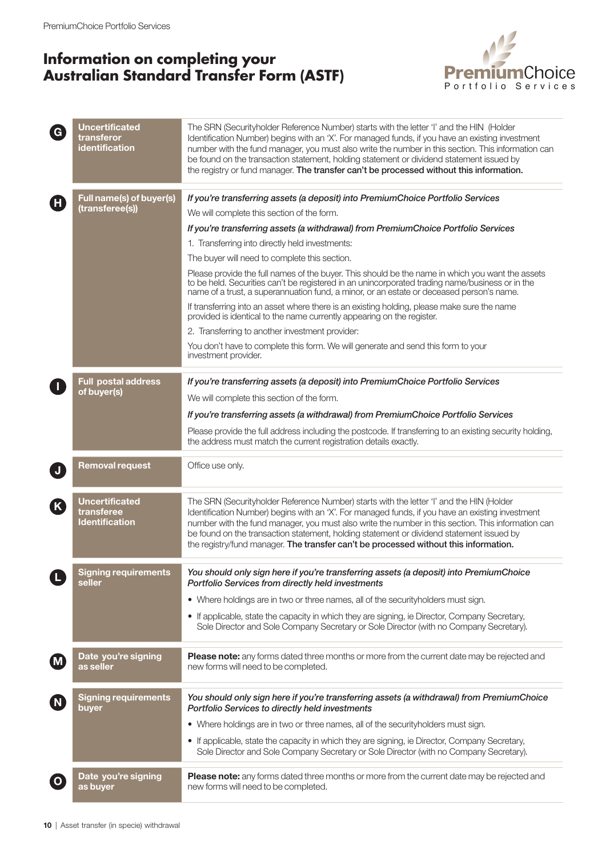### **Information on completing your Australian Standard Transfer Form (ASTF)**



| $\overline{G}$ | <b>Uncertificated</b><br>transferor<br>identification        | The SRN (Securityholder Reference Number) starts with the letter 'I' and the HIN (Holder<br>Identification Number) begins with an 'X'. For managed funds, if you have an existing investment<br>number with the fund manager, you must also write the number in this section. This information can<br>be found on the transaction statement, holding statement or dividend statement issued by<br>the registry or fund manager. The transfer can't be processed without this information. |
|----------------|--------------------------------------------------------------|-------------------------------------------------------------------------------------------------------------------------------------------------------------------------------------------------------------------------------------------------------------------------------------------------------------------------------------------------------------------------------------------------------------------------------------------------------------------------------------------|
|                | Full name(s) of buyer(s)                                     | If you're transferring assets (a deposit) into PremiumChoice Portfolio Services                                                                                                                                                                                                                                                                                                                                                                                                           |
| $\mathbf{H}$   | (transferee(s))                                              | We will complete this section of the form.                                                                                                                                                                                                                                                                                                                                                                                                                                                |
|                |                                                              | If you're transferring assets (a withdrawal) from PremiumChoice Portfolio Services                                                                                                                                                                                                                                                                                                                                                                                                        |
|                |                                                              | 1. Transferring into directly held investments:                                                                                                                                                                                                                                                                                                                                                                                                                                           |
|                |                                                              | The buyer will need to complete this section.                                                                                                                                                                                                                                                                                                                                                                                                                                             |
|                |                                                              | Please provide the full names of the buyer. This should be the name in which you want the assets<br>to be held. Securities can't be registered in an unincorporated trading name/business or in the<br>name of a trust, a superannuation fund, a minor, or an estate or deceased person's name.                                                                                                                                                                                           |
|                |                                                              | If transferring into an asset where there is an existing holding, please make sure the name<br>provided is identical to the name currently appearing on the register.                                                                                                                                                                                                                                                                                                                     |
|                |                                                              | 2. Transferring to another investment provider:                                                                                                                                                                                                                                                                                                                                                                                                                                           |
|                |                                                              | You don't have to complete this form. We will generate and send this form to your<br>investment provider.                                                                                                                                                                                                                                                                                                                                                                                 |
|                | <b>Full postal address</b>                                   | If you're transferring assets (a deposit) into PremiumChoice Portfolio Services                                                                                                                                                                                                                                                                                                                                                                                                           |
|                | of buyer(s)                                                  | We will complete this section of the form.                                                                                                                                                                                                                                                                                                                                                                                                                                                |
|                |                                                              | If you're transferring assets (a withdrawal) from PremiumChoice Portfolio Services                                                                                                                                                                                                                                                                                                                                                                                                        |
|                |                                                              | Please provide the full address including the postcode. If transferring to an existing security holding,<br>the address must match the current registration details exactly.                                                                                                                                                                                                                                                                                                              |
|                | <b>Removal request</b>                                       | Office use only.                                                                                                                                                                                                                                                                                                                                                                                                                                                                          |
| K              | <b>Uncertificated</b><br>transferee<br><b>Identification</b> | The SRN (Securityholder Reference Number) starts with the letter 'I' and the HIN (Holder<br>Identification Number) begins with an 'X'. For managed funds, if you have an existing investment<br>number with the fund manager, you must also write the number in this section. This information can<br>be found on the transaction statement, holding statement or dividend statement issued by<br>the registry/fund manager. The transfer can't be processed without this information.    |
|                | Signing requirements<br>seller                               | You should only sign here if you're transferring assets (a deposit) into PremiumChoice<br>Portfolio Services from directly held investments                                                                                                                                                                                                                                                                                                                                               |
|                |                                                              | • Where holdings are in two or three names, all of the securityholders must sign.                                                                                                                                                                                                                                                                                                                                                                                                         |
|                |                                                              | • If applicable, state the capacity in which they are signing, ie Director, Company Secretary,<br>Sole Director and Sole Company Secretary or Sole Director (with no Company Secretary).                                                                                                                                                                                                                                                                                                  |
| (M             | Date you're signing<br>as seller                             | Please note: any forms dated three months or more from the current date may be rejected and<br>new forms will need to be completed.                                                                                                                                                                                                                                                                                                                                                       |
| (N)            | <b>Signing requirements</b><br>buyer                         | You should only sign here if you're transferring assets (a withdrawal) from PremiumChoice<br>Portfolio Services to directly held investments                                                                                                                                                                                                                                                                                                                                              |
|                |                                                              | • Where holdings are in two or three names, all of the securityholders must sign.                                                                                                                                                                                                                                                                                                                                                                                                         |
|                |                                                              | • If applicable, state the capacity in which they are signing, ie Director, Company Secretary,<br>Sole Director and Sole Company Secretary or Sole Director (with no Company Secretary).                                                                                                                                                                                                                                                                                                  |
|                | Date you're signing<br>as buyer                              | Please note: any forms dated three months or more from the current date may be rejected and<br>new forms will need to be completed.                                                                                                                                                                                                                                                                                                                                                       |